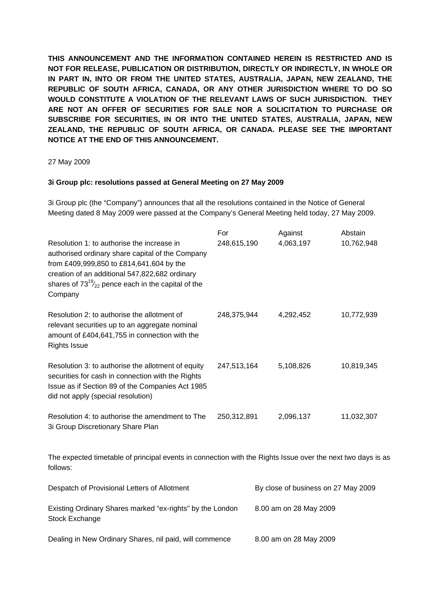**THIS ANNOUNCEMENT AND THE INFORMATION CONTAINED HEREIN IS RESTRICTED AND IS NOT FOR RELEASE, PUBLICATION OR DISTRIBUTION, DIRECTLY OR INDIRECTLY, IN WHOLE OR IN PART IN, INTO OR FROM THE UNITED STATES, AUSTRALIA, JAPAN, NEW ZEALAND, THE REPUBLIC OF SOUTH AFRICA, CANADA, OR ANY OTHER JURISDICTION WHERE TO DO SO WOULD CONSTITUTE A VIOLATION OF THE RELEVANT LAWS OF SUCH JURISDICTION. THEY ARE NOT AN OFFER OF SECURITIES FOR SALE NOR A SOLICITATION TO PURCHASE OR SUBSCRIBE FOR SECURITIES, IN OR INTO THE UNITED STATES, AUSTRALIA, JAPAN, NEW ZEALAND, THE REPUBLIC OF SOUTH AFRICA, OR CANADA. PLEASE SEE THE IMPORTANT NOTICE AT THE END OF THIS ANNOUNCEMENT.** 

## 27 May 2009

## **3i Group plc: resolutions passed at General Meeting on 27 May 2009**

3i Group plc (the "Company") announces that all the resolutions contained in the Notice of General Meeting dated 8 May 2009 were passed at the Company's General Meeting held today, 27 May 2009.

| Resolution 1: to authorise the increase in<br>authorised ordinary share capital of the Company<br>from £409,999,850 to £814,641,604 by the<br>creation of an additional 547,822,682 ordinary<br>shares of $73^{19}/_{22}$ pence each in the capital of the<br>Company | For<br>248,615,190                  | Against<br>4,063,197 | Abstain<br>10,762,948 |
|-----------------------------------------------------------------------------------------------------------------------------------------------------------------------------------------------------------------------------------------------------------------------|-------------------------------------|----------------------|-----------------------|
| Resolution 2: to authorise the allotment of<br>relevant securities up to an aggregate nominal<br>amount of £404,641,755 in connection with the<br><b>Rights Issue</b>                                                                                                 | 248,375,944                         | 4,292,452            | 10,772,939            |
| Resolution 3: to authorise the allotment of equity<br>securities for cash in connection with the Rights<br>Issue as if Section 89 of the Companies Act 1985<br>did not apply (special resolution)                                                                     | 247,513,164                         | 5,108,826            | 10,819,345            |
| Resolution 4: to authorise the amendment to The<br>3i Group Discretionary Share Plan                                                                                                                                                                                  | 250,312,891                         | 2,096,137            | 11,032,307            |
| The expected timetable of principal events in connection with the Rights Issue over the next two days is as<br>follows:                                                                                                                                               |                                     |                      |                       |
| Despatch of Provisional Letters of Allotment                                                                                                                                                                                                                          | By close of business on 27 May 2009 |                      |                       |

| Existing Ordinary Shares marked "ex-rights" by the London<br>Stock Exchange | 8.00 am on 28 May 2009 |  |
|-----------------------------------------------------------------------------|------------------------|--|
| Dealing in New Ordinary Shares, nil paid, will commence                     | 8.00 am on 28 May 2009 |  |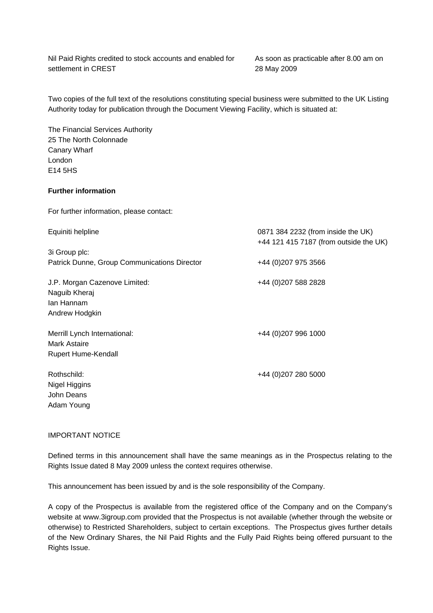Nil Paid Rights credited to stock accounts and enabled for settlement in CREST

As soon as practicable after 8.00 am on 28 May 2009

Two copies of the full text of the resolutions constituting special business were submitted to the UK Listing Authority today for publication through the Document Viewing Facility, which is situated at:

The Financial Services Authority 25 The North Colonnade Canary Wharf London E14 5HS

## **Further information**

For further information, please contact:

| Equiniti helpline                            | 0871 384 2232 (from inside the UK)<br>+44 121 415 7187 (from outside the UK) |
|----------------------------------------------|------------------------------------------------------------------------------|
| 3i Group plc:                                |                                                                              |
| Patrick Dunne, Group Communications Director | +44 (0) 207 975 3566                                                         |
| J.P. Morgan Cazenove Limited:                | +44 (0) 207 588 2828                                                         |
| Naguib Kheraj                                |                                                                              |
| lan Hannam                                   |                                                                              |
| Andrew Hodgkin                               |                                                                              |
| Merrill Lynch International:                 | +44 (0) 207 996 1000                                                         |
| Mark Astaire                                 |                                                                              |
| <b>Rupert Hume-Kendall</b>                   |                                                                              |
| Rothschild:                                  | +44 (0)207 280 5000                                                          |
| Nigel Higgins                                |                                                                              |
| John Deans                                   |                                                                              |
| Adam Young                                   |                                                                              |

## IMPORTANT NOTICE

Defined terms in this announcement shall have the same meanings as in the Prospectus relating to the Rights Issue dated 8 May 2009 unless the context requires otherwise.

This announcement has been issued by and is the sole responsibility of the Company.

A copy of the Prospectus is available from the registered office of the Company and on the Company's website at www.3igroup.com provided that the Prospectus is not available (whether through the website or otherwise) to Restricted Shareholders, subject to certain exceptions. The Prospectus gives further details of the New Ordinary Shares, the Nil Paid Rights and the Fully Paid Rights being offered pursuant to the Rights Issue.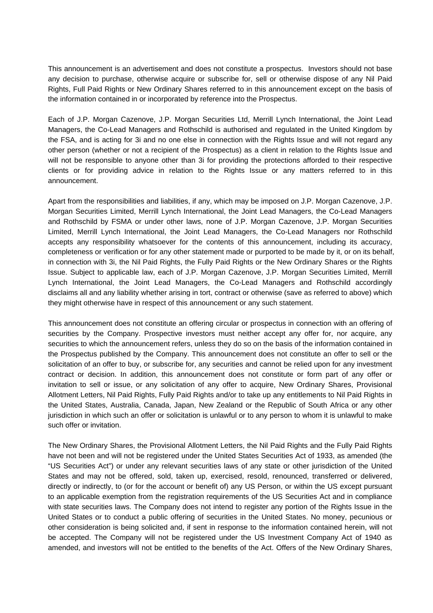This announcement is an advertisement and does not constitute a prospectus. Investors should not base any decision to purchase, otherwise acquire or subscribe for, sell or otherwise dispose of any Nil Paid Rights, Full Paid Rights or New Ordinary Shares referred to in this announcement except on the basis of the information contained in or incorporated by reference into the Prospectus.

Each of J.P. Morgan Cazenove, J.P. Morgan Securities Ltd, Merrill Lynch International, the Joint Lead Managers, the Co-Lead Managers and Rothschild is authorised and regulated in the United Kingdom by the FSA, and is acting for 3i and no one else in connection with the Rights Issue and will not regard any other person (whether or not a recipient of the Prospectus) as a client in relation to the Rights Issue and will not be responsible to anyone other than 3i for providing the protections afforded to their respective clients or for providing advice in relation to the Rights Issue or any matters referred to in this announcement.

Apart from the responsibilities and liabilities, if any, which may be imposed on J.P. Morgan Cazenove, J.P. Morgan Securities Limited, Merrill Lynch International, the Joint Lead Managers, the Co-Lead Managers and Rothschild by FSMA or under other laws, none of J.P. Morgan Cazenove, J.P. Morgan Securities Limited, Merrill Lynch International, the Joint Lead Managers, the Co-Lead Managers nor Rothschild accepts any responsibility whatsoever for the contents of this announcement, including its accuracy, completeness or verification or for any other statement made or purported to be made by it, or on its behalf, in connection with 3i, the Nil Paid Rights, the Fully Paid Rights or the New Ordinary Shares or the Rights Issue. Subject to applicable law, each of J.P. Morgan Cazenove, J.P. Morgan Securities Limited, Merrill Lynch International, the Joint Lead Managers, the Co-Lead Managers and Rothschild accordingly disclaims all and any liability whether arising in tort, contract or otherwise (save as referred to above) which they might otherwise have in respect of this announcement or any such statement.

This announcement does not constitute an offering circular or prospectus in connection with an offering of securities by the Company. Prospective investors must neither accept any offer for, nor acquire, any securities to which the announcement refers, unless they do so on the basis of the information contained in the Prospectus published by the Company. This announcement does not constitute an offer to sell or the solicitation of an offer to buy, or subscribe for, any securities and cannot be relied upon for any investment contract or decision. In addition, this announcement does not constitute or form part of any offer or invitation to sell or issue, or any solicitation of any offer to acquire, New Ordinary Shares, Provisional Allotment Letters, Nil Paid Rights, Fully Paid Rights and/or to take up any entitlements to Nil Paid Rights in the United States, Australia, Canada, Japan, New Zealand or the Republic of South Africa or any other jurisdiction in which such an offer or solicitation is unlawful or to any person to whom it is unlawful to make such offer or invitation.

The New Ordinary Shares, the Provisional Allotment Letters, the Nil Paid Rights and the Fully Paid Rights have not been and will not be registered under the United States Securities Act of 1933, as amended (the "US Securities Act") or under any relevant securities laws of any state or other jurisdiction of the United States and may not be offered, sold, taken up, exercised, resold, renounced, transferred or delivered, directly or indirectly, to (or for the account or benefit of) any US Person, or within the US except pursuant to an applicable exemption from the registration requirements of the US Securities Act and in compliance with state securities laws. The Company does not intend to register any portion of the Rights Issue in the United States or to conduct a public offering of securities in the United States. No money, pecunious or other consideration is being solicited and, if sent in response to the information contained herein, will not be accepted. The Company will not be registered under the US Investment Company Act of 1940 as amended, and investors will not be entitled to the benefits of the Act. Offers of the New Ordinary Shares,